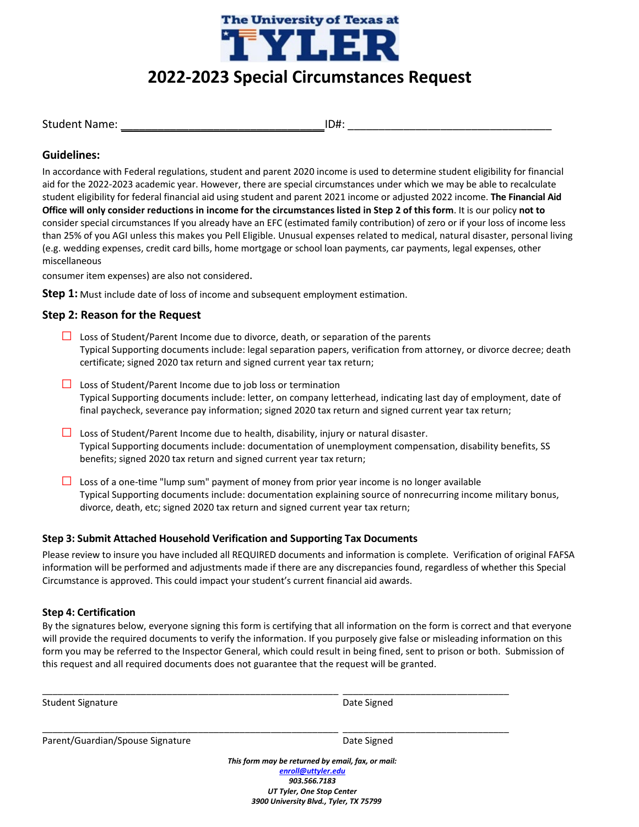

# **2022-2023 Special Circumstances Request**

Student Name: \_\_\_\_\_\_\_\_\_\_\_\_\_\_\_\_\_\_\_\_\_\_\_\_\_\_\_\_\_\_\_\_\_ID#: \_\_\_\_\_\_\_\_\_\_\_\_\_\_\_\_\_\_\_\_\_\_\_\_\_\_\_\_\_\_\_\_\_

# **Guidelines:**

In accordance with Federal regulations, student and parent 2020 income is used to determine student eligibility for financial aid for the 2022-2023 academic year. However, there are special circumstances under which we may be able to recalculate student eligibility for federal financial aid using student and parent 2021 income or adjusted 2022 income. **The Financial Aid Office will only consider reductions in income for the circumstances listed in Step 2 of this form**. It is our policy **not to** consider special circumstances If you already have an EFC (estimated family contribution) of zero or if your loss of income less than 25% of you AGI unless this makes you Pell Eligible. Unusual expenses related to medical, natural disaster, personal living (e.g. wedding expenses, credit card bills, home mortgage or school loan payments, car payments, legal expenses, other miscellaneous

consumer item expenses) are also not considered.

**Step 1:** Must include date of loss of income and subsequent employment estimation.

## **Step 2: Reason for the Request**

- **□** Loss of Student/Parent Income due to divorce, death, or separation of the parents Typical Supporting documents include: legal separation papers, verification from attorney, or divorce decree; death certificate; signed 2020 tax return and signed current year tax return;
- **□** Loss of Student/Parent Income due to job loss or termination Typical Supporting documents include: letter, on company letterhead, indicating last day of employment, date of final paycheck, severance pay information; signed 2020 tax return and signed current year tax return;
- **□** Loss of Student/Parent Income due to health, disability, injury or natural disaster. Typical Supporting documents include: documentation of unemployment compensation, disability benefits, SS benefits; signed 2020 tax return and signed current year tax return;
- **□** Loss of a one-time "lump sum" payment of money from prior year income is no longer available Typical Supporting documents include: documentation explaining source of nonrecurring income military bonus, divorce, death, etc; signed 2020 tax return and signed current year tax return;

## **Step 3: Submit Attached Household Verification and Supporting Tax Documents**

Please review to insure you have included all REQUIRED documents and information is complete. Verification of original FAFSA information will be performed and adjustments made if there are any discrepancies found, regardless of whether this Special Circumstance is approved. This could impact your student's current financial aid awards.

## **Step 4: Certification**

By the signatures below, everyone signing this form is certifying that all information on the form is correct and that everyone will provide the required documents to verify the information. If you purposely give false or misleading information on this form you may be referred to the Inspector General, which could result in being fined, sent to prison or both. Submission of this request and all required documents does not guarantee that the request will be granted.

\_\_\_\_\_\_\_\_\_\_\_\_\_\_\_\_\_\_\_\_\_\_\_\_\_\_\_\_\_\_\_\_\_\_\_\_\_\_\_\_\_\_\_\_\_\_\_\_\_\_\_\_\_\_\_\_\_ \_\_\_\_\_\_\_\_\_\_\_\_\_\_\_\_\_\_\_\_\_\_\_\_\_\_\_\_\_\_\_\_

\_\_\_\_\_\_\_\_\_\_\_\_\_\_\_\_\_\_\_\_\_\_\_\_\_\_\_\_\_\_\_\_\_\_\_\_\_\_\_\_\_\_\_\_\_\_\_\_\_\_\_\_\_\_\_\_\_ \_\_\_\_\_\_\_\_\_\_\_\_\_\_\_\_\_\_\_\_\_\_\_\_\_\_\_\_\_\_\_\_

| <b>Student Signature</b> |
|--------------------------|
|                          |

Date Signed

Parent/Guardian/Spouse Signature data and the Date Signed

*This form may be returned by email, fax, or mail: [enroll@uttyler.edu](mailto:enroll@uttyler.edu) 903.566.7183 UT Tyler, One Stop Center 3900 University Blvd., Tyler, TX 75799*